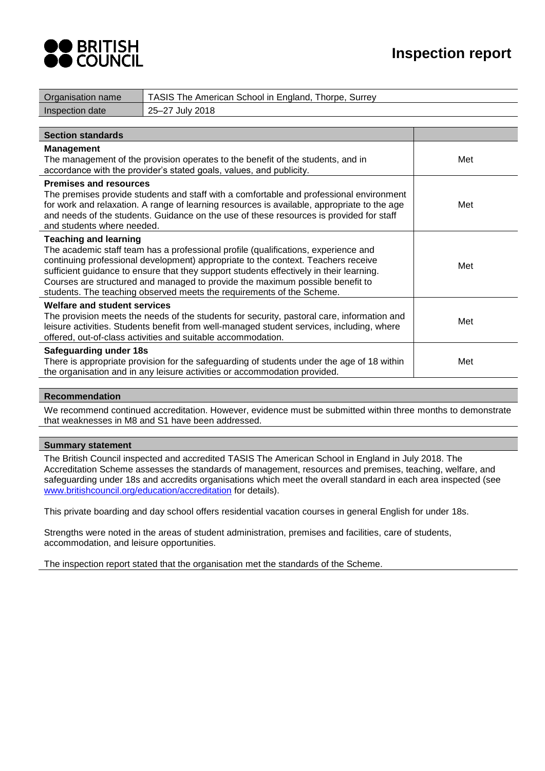



| Organisation name                                           | TASIS The American School in England, Thorpe, Surrey                                                                                                                                                                                                                                                                                                                                                                         |     |
|-------------------------------------------------------------|------------------------------------------------------------------------------------------------------------------------------------------------------------------------------------------------------------------------------------------------------------------------------------------------------------------------------------------------------------------------------------------------------------------------------|-----|
| Inspection date                                             | 25-27 July 2018                                                                                                                                                                                                                                                                                                                                                                                                              |     |
|                                                             |                                                                                                                                                                                                                                                                                                                                                                                                                              |     |
| <b>Section standards</b>                                    |                                                                                                                                                                                                                                                                                                                                                                                                                              |     |
| <b>Management</b>                                           | The management of the provision operates to the benefit of the students, and in<br>accordance with the provider's stated goals, values, and publicity.                                                                                                                                                                                                                                                                       | Met |
| <b>Premises and resources</b><br>and students where needed. | The premises provide students and staff with a comfortable and professional environment<br>for work and relaxation. A range of learning resources is available, appropriate to the age<br>and needs of the students. Guidance on the use of these resources is provided for staff                                                                                                                                            | Met |
| <b>Teaching and learning</b>                                | The academic staff team has a professional profile (qualifications, experience and<br>continuing professional development) appropriate to the context. Teachers receive<br>sufficient guidance to ensure that they support students effectively in their learning.<br>Courses are structured and managed to provide the maximum possible benefit to<br>students. The teaching observed meets the requirements of the Scheme. | Met |
| <b>Welfare and student services</b>                         | The provision meets the needs of the students for security, pastoral care, information and<br>leisure activities. Students benefit from well-managed student services, including, where<br>offered, out-of-class activities and suitable accommodation.                                                                                                                                                                      | Met |
| Safeguarding under 18s                                      | There is appropriate provision for the safeguarding of students under the age of 18 within<br>the organisation and in any leisure activities or accommodation provided.                                                                                                                                                                                                                                                      | Met |

## **Recommendation**

We recommend continued accreditation. However, evidence must be submitted within three months to demonstrate that weaknesses in M8 and S1 have been addressed.

## **Summary statement**

The British Council inspected and accredited TASIS The American School in England in July 2018. The Accreditation Scheme assesses the standards of management, resources and premises, teaching, welfare, and safeguarding under 18s and accredits organisations which meet the overall standard in each area inspected (see [www.britishcouncil.org/education/accreditation](http://www.britishcouncil.org/education/accreditation) for details).

This private boarding and day school offers residential vacation courses in general English for under 18s.

Strengths were noted in the areas of student administration, premises and facilities, care of students, accommodation, and leisure opportunities.

The inspection report stated that the organisation met the standards of the Scheme.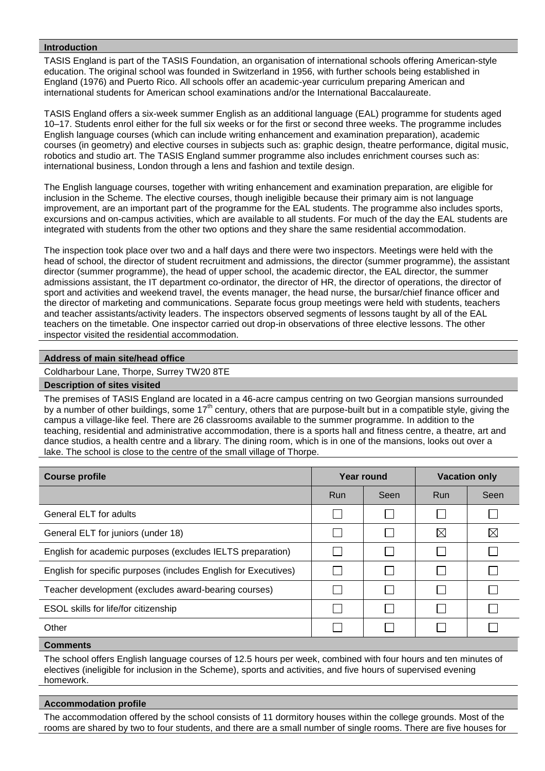#### **Introduction**

TASIS England is part of the TASIS Foundation, an organisation of international schools offering American-style education. The original school was founded in Switzerland in 1956, with further schools being established in England (1976) and Puerto Rico. All schools offer an academic-year curriculum preparing American and international students for American school examinations and/or the International Baccalaureate.

TASIS England offers a six-week summer English as an additional language (EAL) programme for students aged 10–17. Students enrol either for the full six weeks or for the first or second three weeks. The programme includes English language courses (which can include writing enhancement and examination preparation), academic courses (in geometry) and elective courses in subjects such as: graphic design, theatre performance, digital music, robotics and studio art. The TASIS England summer programme also includes enrichment courses such as: international business, London through a lens and fashion and textile design.

The English language courses, together with writing enhancement and examination preparation, are eligible for inclusion in the Scheme. The elective courses, though ineligible because their primary aim is not language improvement, are an important part of the programme for the EAL students. The programme also includes sports, excursions and on-campus activities, which are available to all students. For much of the day the EAL students are integrated with students from the other two options and they share the same residential accommodation.

The inspection took place over two and a half days and there were two inspectors. Meetings were held with the head of school, the director of student recruitment and admissions, the director (summer programme), the assistant director (summer programme), the head of upper school, the academic director, the EAL director, the summer admissions assistant, the IT department co-ordinator, the director of HR, the director of operations, the director of sport and activities and weekend travel, the events manager, the head nurse, the bursar/chief finance officer and the director of marketing and communications. Separate focus group meetings were held with students, teachers and teacher assistants/activity leaders. The inspectors observed segments of lessons taught by all of the EAL teachers on the timetable. One inspector carried out drop-in observations of three elective lessons. The other inspector visited the residential accommodation.

## **Address of main site/head office**

Coldharbour Lane, Thorpe, Surrey TW20 8TE

#### **Description of sites visited**

The premises of TASIS England are located in a 46-acre campus centring on two Georgian mansions surrounded by a number of other buildings, some  $17<sup>th</sup>$  century, others that are purpose-built but in a compatible style, giving the campus a village-like feel. There are 26 classrooms available to the summer programme. In addition to the teaching, residential and administrative accommodation, there is a sports hall and fitness centre, a theatre, art and dance studios, a health centre and a library. The dining room, which is in one of the mansions, looks out over a lake. The school is close to the centre of the small village of Thorpe.

| <b>Course profile</b><br>Year round                             |     |                          | <b>Vacation only</b> |             |
|-----------------------------------------------------------------|-----|--------------------------|----------------------|-------------|
|                                                                 | Run | Seen                     | <b>Run</b>           | Seen        |
| <b>General ELT for adults</b>                                   |     |                          |                      |             |
| General ELT for juniors (under 18)                              |     |                          | $\boxtimes$          | $\boxtimes$ |
| English for academic purposes (excludes IELTS preparation)      |     | L                        |                      |             |
| English for specific purposes (includes English for Executives) |     | $\mathbf{I}$             |                      |             |
| Teacher development (excludes award-bearing courses)            |     | $\overline{\phantom{0}}$ |                      |             |
| ESOL skills for life/for citizenship                            |     |                          |                      |             |
| Other                                                           |     |                          |                      |             |

## **Comments**

The school offers English language courses of 12.5 hours per week, combined with four hours and ten minutes of electives (ineligible for inclusion in the Scheme), sports and activities, and five hours of supervised evening homework.

#### **Accommodation profile**

The accommodation offered by the school consists of 11 dormitory houses within the college grounds. Most of the rooms are shared by two to four students, and there are a small number of single rooms. There are five houses for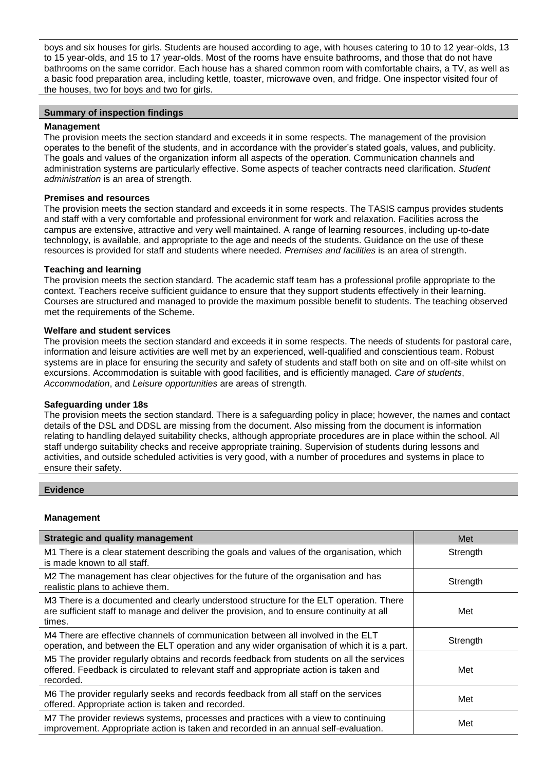boys and six houses for girls. Students are housed according to age, with houses catering to 10 to 12 year-olds, 13 to 15 year-olds, and 15 to 17 year-olds. Most of the rooms have ensuite bathrooms, and those that do not have bathrooms on the same corridor. Each house has a shared common room with comfortable chairs, a TV, as well as a basic food preparation area, including kettle, toaster, microwave oven, and fridge. One inspector visited four of the houses, two for boys and two for girls.

# **Summary of inspection findings**

## **Management**

The provision meets the section standard and exceeds it in some respects. The management of the provision operates to the benefit of the students, and in accordance with the provider's stated goals, values, and publicity. The goals and values of the organization inform all aspects of the operation. Communication channels and administration systems are particularly effective. Some aspects of teacher contracts need clarification. *Student administration* is an area of strength.

## **Premises and resources**

The provision meets the section standard and exceeds it in some respects. The TASIS campus provides students and staff with a very comfortable and professional environment for work and relaxation. Facilities across the campus are extensive, attractive and very well maintained. A range of learning resources, including up-to-date technology, is available, and appropriate to the age and needs of the students. Guidance on the use of these resources is provided for staff and students where needed. *Premises and facilities* is an area of strength.

## **Teaching and learning**

The provision meets the section standard. The academic staff team has a professional profile appropriate to the context. Teachers receive sufficient guidance to ensure that they support students effectively in their learning. Courses are structured and managed to provide the maximum possible benefit to students. The teaching observed met the requirements of the Scheme.

## **Welfare and student services**

The provision meets the section standard and exceeds it in some respects. The needs of students for pastoral care, information and leisure activities are well met by an experienced, well-qualified and conscientious team. Robust systems are in place for ensuring the security and safety of students and staff both on site and on off-site whilst on excursions. Accommodation is suitable with good facilities, and is efficiently managed. *Care of students*, *Accommodation*, and *Leisure opportunities* are areas of strength.

#### **Safeguarding under 18s**

The provision meets the section standard. There is a safeguarding policy in place; however, the names and contact details of the DSL and DDSL are missing from the document. Also missing from the document is information relating to handling delayed suitability checks, although appropriate procedures are in place within the school. All staff undergo suitability checks and receive appropriate training. Supervision of students during lessons and activities, and outside scheduled activities is very good, with a number of procedures and systems in place to ensure their safety.

#### **Evidence**

# **Management**

| <b>Strategic and quality management</b>                                                                                                                                                        | Met      |
|------------------------------------------------------------------------------------------------------------------------------------------------------------------------------------------------|----------|
| M1 There is a clear statement describing the goals and values of the organisation, which<br>is made known to all staff.                                                                        | Strength |
| M2 The management has clear objectives for the future of the organisation and has<br>realistic plans to achieve them.                                                                          | Strength |
| M3 There is a documented and clearly understood structure for the ELT operation. There<br>are sufficient staff to manage and deliver the provision, and to ensure continuity at all<br>times.  | Met      |
| M4 There are effective channels of communication between all involved in the ELT<br>operation, and between the ELT operation and any wider organisation of which it is a part.                 | Strength |
| M5 The provider regularly obtains and records feedback from students on all the services<br>offered. Feedback is circulated to relevant staff and appropriate action is taken and<br>recorded. | Met      |
| M6 The provider regularly seeks and records feedback from all staff on the services<br>offered. Appropriate action is taken and recorded.                                                      | Met      |
| M7 The provider reviews systems, processes and practices with a view to continuing<br>improvement. Appropriate action is taken and recorded in an annual self-evaluation.                      | Met      |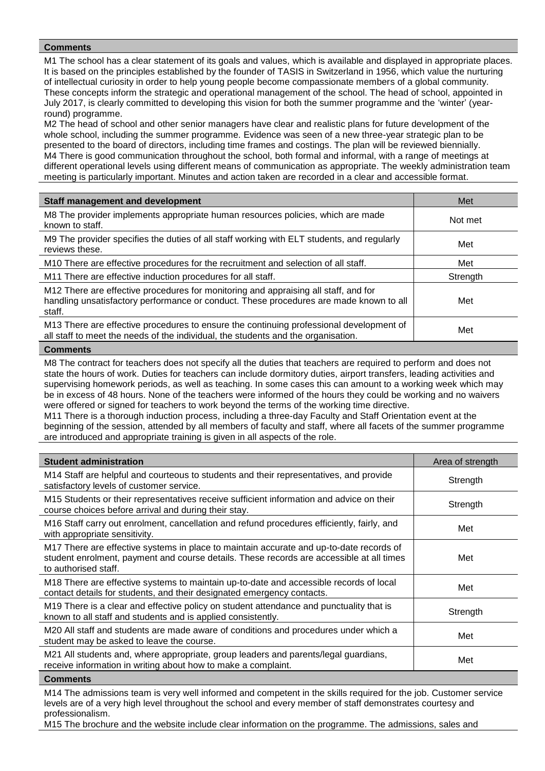M1 The school has a clear statement of its goals and values, which is available and displayed in appropriate places. It is based on the principles established by the founder of TASIS in Switzerland in 1956, which value the nurturing of intellectual curiosity in order to help young people become compassionate members of a global community. These concepts inform the strategic and operational management of the school. The head of school, appointed in July 2017, is clearly committed to developing this vision for both the summer programme and the 'winter' (yearround) programme.

M2 The head of school and other senior managers have clear and realistic plans for future development of the whole school, including the summer programme. Evidence was seen of a new three-year strategic plan to be presented to the board of directors, including time frames and costings. The plan will be reviewed biennially. M4 There is good communication throughout the school, both formal and informal, with a range of meetings at different operational levels using different means of communication as appropriate. The weekly administration team meeting is particularly important. Minutes and action taken are recorded in a clear and accessible format.

| <b>Staff management and development</b>                                                                                                                                                 | Met      |
|-----------------------------------------------------------------------------------------------------------------------------------------------------------------------------------------|----------|
| M8 The provider implements appropriate human resources policies, which are made<br>known to staff.                                                                                      | Not met  |
| M9 The provider specifies the duties of all staff working with ELT students, and regularly<br>reviews these.                                                                            | Met      |
| M10 There are effective procedures for the recruitment and selection of all staff.                                                                                                      | Met      |
| M11 There are effective induction procedures for all staff.                                                                                                                             | Strength |
| M12 There are effective procedures for monitoring and appraising all staff, and for<br>handling unsatisfactory performance or conduct. These procedures are made known to all<br>staff. | Met      |
| M13 There are effective procedures to ensure the continuing professional development of<br>all staff to meet the needs of the individual, the students and the organisation.            | Met      |
|                                                                                                                                                                                         |          |

#### **Comments**

M8 The contract for teachers does not specify all the duties that teachers are required to perform and does not state the hours of work. Duties for teachers can include dormitory duties, airport transfers, leading activities and supervising homework periods, as well as teaching. In some cases this can amount to a working week which may be in excess of 48 hours. None of the teachers were informed of the hours they could be working and no waivers were offered or signed for teachers to work beyond the terms of the working time directive.

M11 There is a thorough induction process, including a three-day Faculty and Staff Orientation event at the beginning of the session, attended by all members of faculty and staff, where all facets of the summer programme are introduced and appropriate training is given in all aspects of the role.

| <b>Student administration</b>                                                                                                                                                                               | Area of strength |
|-------------------------------------------------------------------------------------------------------------------------------------------------------------------------------------------------------------|------------------|
| M14 Staff are helpful and courteous to students and their representatives, and provide<br>satisfactory levels of customer service.                                                                          | Strength         |
| M15 Students or their representatives receive sufficient information and advice on their<br>course choices before arrival and during their stay.                                                            | Strength         |
| M16 Staff carry out enrolment, cancellation and refund procedures efficiently, fairly, and<br>with appropriate sensitivity.                                                                                 | Met              |
| M17 There are effective systems in place to maintain accurate and up-to-date records of<br>student enrolment, payment and course details. These records are accessible at all times<br>to authorised staff. | Met              |
| M18 There are effective systems to maintain up-to-date and accessible records of local<br>contact details for students, and their designated emergency contacts.                                            | Met              |
| M19 There is a clear and effective policy on student attendance and punctuality that is<br>known to all staff and students and is applied consistently.                                                     | Strength         |
| M20 All staff and students are made aware of conditions and procedures under which a<br>student may be asked to leave the course.                                                                           | Met              |
| M21 All students and, where appropriate, group leaders and parents/legal guardians,<br>receive information in writing about how to make a complaint.                                                        | Met              |

#### **Comments**

M14 The admissions team is very well informed and competent in the skills required for the job. Customer service levels are of a very high level throughout the school and every member of staff demonstrates courtesy and professionalism.

M15 The brochure and the website include clear information on the programme. The admissions, sales and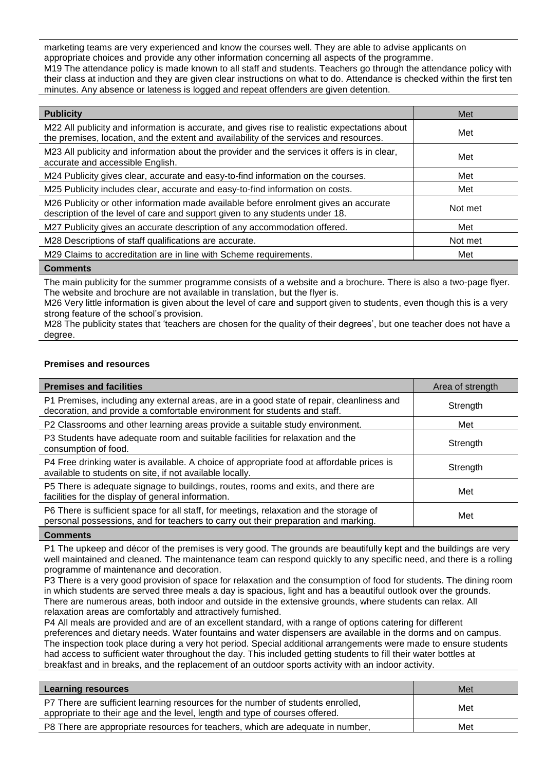marketing teams are very experienced and know the courses well. They are able to advise applicants on appropriate choices and provide any other information concerning all aspects of the programme. M19 The attendance policy is made known to all staff and students. Teachers go through the attendance policy with their class at induction and they are given clear instructions on what to do. Attendance is checked within the first ten minutes. Any absence or lateness is logged and repeat offenders are given detention.

| <b>Publicity</b>                                                                                                                                                                        | Met     |
|-----------------------------------------------------------------------------------------------------------------------------------------------------------------------------------------|---------|
| M22 All publicity and information is accurate, and gives rise to realistic expectations about<br>the premises, location, and the extent and availability of the services and resources. | Met     |
| M23 All publicity and information about the provider and the services it offers is in clear,<br>accurate and accessible English.                                                        | Met     |
| M24 Publicity gives clear, accurate and easy-to-find information on the courses.                                                                                                        | Met     |
| M25 Publicity includes clear, accurate and easy-to-find information on costs.                                                                                                           | Met     |
| M26 Publicity or other information made available before enrolment gives an accurate<br>description of the level of care and support given to any students under 18.                    | Not met |
| M27 Publicity gives an accurate description of any accommodation offered.                                                                                                               | Met     |
| M28 Descriptions of staff qualifications are accurate.                                                                                                                                  | Not met |
| M29 Claims to accreditation are in line with Scheme requirements.                                                                                                                       | Met     |
|                                                                                                                                                                                         |         |

#### **Comments**

The main publicity for the summer programme consists of a website and a brochure. There is also a two-page flyer. The website and brochure are not available in translation, but the flyer is.

M26 Very little information is given about the level of care and support given to students, even though this is a very strong feature of the school's provision.

M28 The publicity states that 'teachers are chosen for the quality of their degrees', but one teacher does not have a degree.

# **Premises and resources**

| <b>Premises and facilities</b>                                                                                                                                                | Area of strength |
|-------------------------------------------------------------------------------------------------------------------------------------------------------------------------------|------------------|
| P1 Premises, including any external areas, are in a good state of repair, cleanliness and<br>decoration, and provide a comfortable environment for students and staff.        | Strength         |
| P2 Classrooms and other learning areas provide a suitable study environment.                                                                                                  | Met              |
| P3 Students have adequate room and suitable facilities for relaxation and the<br>consumption of food.                                                                         | Strength         |
| P4 Free drinking water is available. A choice of appropriate food at affordable prices is<br>available to students on site, if not available locally.                         | Strength         |
| P5 There is adequate signage to buildings, routes, rooms and exits, and there are<br>facilities for the display of general information.                                       | Met              |
| P6 There is sufficient space for all staff, for meetings, relaxation and the storage of<br>personal possessions, and for teachers to carry out their preparation and marking. | Met              |

#### **Comments**

P1 The upkeep and décor of the premises is very good. The grounds are beautifully kept and the buildings are very well maintained and cleaned. The maintenance team can respond quickly to any specific need, and there is a rolling programme of maintenance and decoration.

P3 There is a very good provision of space for relaxation and the consumption of food for students. The dining room in which students are served three meals a day is spacious, light and has a beautiful outlook over the grounds. There are numerous areas, both indoor and outside in the extensive grounds, where students can relax. All relaxation areas are comfortably and attractively furnished.

P4 All meals are provided and are of an excellent standard, with a range of options catering for different preferences and dietary needs. Water fountains and water dispensers are available in the dorms and on campus. The inspection took place during a very hot period. Special additional arrangements were made to ensure students had access to sufficient water throughout the day. This included getting students to fill their water bottles at breakfast and in breaks, and the replacement of an outdoor sports activity with an indoor activity.

| Learning resources                                                                                                                                             | Met |
|----------------------------------------------------------------------------------------------------------------------------------------------------------------|-----|
| P7 There are sufficient learning resources for the number of students enrolled,<br>appropriate to their age and the level, length and type of courses offered. | Met |
| P8 There are appropriate resources for teachers, which are adequate in number,                                                                                 | Met |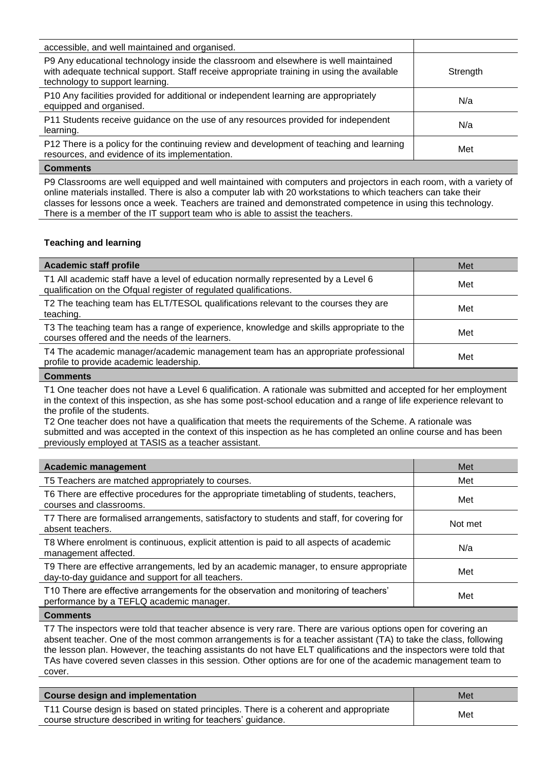| accessible, and well maintained and organised.                                                                                                                                                                       |          |
|----------------------------------------------------------------------------------------------------------------------------------------------------------------------------------------------------------------------|----------|
| P9 Any educational technology inside the classroom and elsewhere is well maintained<br>with adequate technical support. Staff receive appropriate training in using the available<br>technology to support learning. | Strength |
| P10 Any facilities provided for additional or independent learning are appropriately<br>equipped and organised.                                                                                                      | N/a      |
| P11 Students receive guidance on the use of any resources provided for independent<br>learning.                                                                                                                      | N/a      |
| P12 There is a policy for the continuing review and development of teaching and learning<br>resources, and evidence of its implementation.                                                                           | Met      |
| $\sim$ $\sim$                                                                                                                                                                                                        |          |

P9 Classrooms are well equipped and well maintained with computers and projectors in each room, with a variety of online materials installed. There is also a computer lab with 20 workstations to which teachers can take their classes for lessons once a week. Teachers are trained and demonstrated competence in using this technology. There is a member of the IT support team who is able to assist the teachers.

# **Teaching and learning**

| <b>Academic staff profile</b>                                                                                                                          | Met |
|--------------------------------------------------------------------------------------------------------------------------------------------------------|-----|
| T1 All academic staff have a level of education normally represented by a Level 6<br>qualification on the Ofqual register of regulated qualifications. | Met |
| T2 The teaching team has ELT/TESOL qualifications relevant to the courses they are<br>teaching.                                                        | Met |
| T3 The teaching team has a range of experience, knowledge and skills appropriate to the<br>courses offered and the needs of the learners.              | Met |
| T4 The academic manager/academic management team has an appropriate professional<br>profile to provide academic leadership.                            | Met |
| $\mathbf{A}$                                                                                                                                           |     |

#### **Comments**

T1 One teacher does not have a Level 6 qualification. A rationale was submitted and accepted for her employment in the context of this inspection, as she has some post-school education and a range of life experience relevant to the profile of the students.

T2 One teacher does not have a qualification that meets the requirements of the Scheme. A rationale was submitted and was accepted in the context of this inspection as he has completed an online course and has been previously employed at TASIS as a teacher assistant.

| <b>Academic management</b>                                                                                                                  | Met     |
|---------------------------------------------------------------------------------------------------------------------------------------------|---------|
| T5 Teachers are matched appropriately to courses.                                                                                           | Met     |
| T6 There are effective procedures for the appropriate timetabling of students, teachers,<br>courses and classrooms.                         | Met     |
| T7 There are formalised arrangements, satisfactory to students and staff, for covering for<br>absent teachers.                              | Not met |
| T8 Where enrolment is continuous, explicit attention is paid to all aspects of academic<br>management affected.                             | N/a     |
| T9 There are effective arrangements, led by an academic manager, to ensure appropriate<br>day-to-day guidance and support for all teachers. | Met     |
| T10 There are effective arrangements for the observation and monitoring of teachers'<br>performance by a TEFLQ academic manager.            | Met     |
|                                                                                                                                             |         |

#### **Comments**

T7 The inspectors were told that teacher absence is very rare. There are various options open for covering an absent teacher. One of the most common arrangements is for a teacher assistant (TA) to take the class, following the lesson plan. However, the teaching assistants do not have ELT qualifications and the inspectors were told that TAs have covered seven classes in this session. Other options are for one of the academic management team to cover.

| Course design and implementation                                                                                                                      | Met |
|-------------------------------------------------------------------------------------------------------------------------------------------------------|-----|
| T11 Course design is based on stated principles. There is a coherent and appropriate<br>course structure described in writing for teachers' guidance. | Met |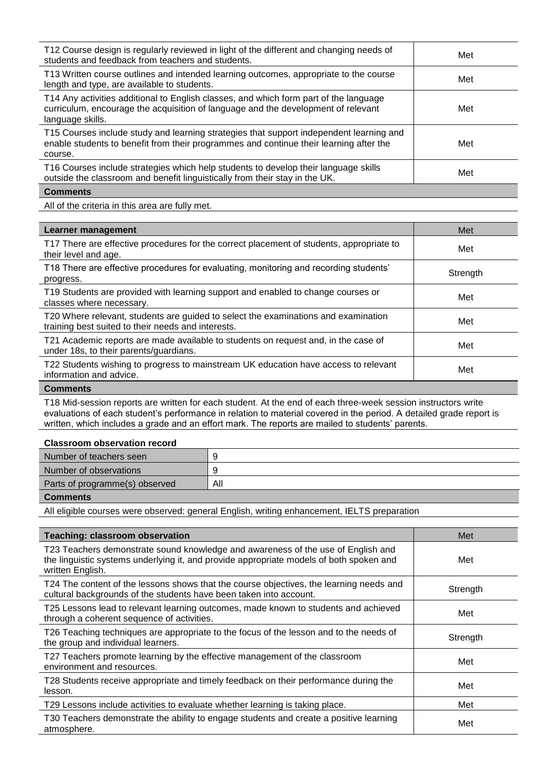| T12 Course design is regularly reviewed in light of the different and changing needs of<br>students and feedback from teachers and students.                                                   | Met |
|------------------------------------------------------------------------------------------------------------------------------------------------------------------------------------------------|-----|
| T13 Written course outlines and intended learning outcomes, appropriate to the course<br>length and type, are available to students.                                                           | Met |
| T14 Any activities additional to English classes, and which form part of the language<br>curriculum, encourage the acquisition of language and the development of relevant<br>language skills. | Met |
| T15 Courses include study and learning strategies that support independent learning and<br>enable students to benefit from their programmes and continue their learning after the<br>course.   | Met |
| T16 Courses include strategies which help students to develop their language skills<br>outside the classroom and benefit linguistically from their stay in the UK.                             | Met |
| <b>Comments</b>                                                                                                                                                                                |     |

All of the criteria in this area are fully met.

| Learner management                                                                                                                       | Met      |
|------------------------------------------------------------------------------------------------------------------------------------------|----------|
| T17 There are effective procedures for the correct placement of students, appropriate to<br>their level and age.                         | Met      |
| T18 There are effective procedures for evaluating, monitoring and recording students'<br>progress.                                       | Strength |
| T19 Students are provided with learning support and enabled to change courses or<br>classes where necessary.                             | Met      |
| T20 Where relevant, students are guided to select the examinations and examination<br>training best suited to their needs and interests. | Met      |
| T21 Academic reports are made available to students on request and, in the case of<br>under 18s, to their parents/guardians.             | Met      |
| T22 Students wishing to progress to mainstream UK education have access to relevant<br>information and advice.                           | Met      |

# **Comments**

T18 Mid-session reports are written for each student. At the end of each three-week session instructors write evaluations of each student's performance in relation to material covered in the period. A detailed grade report is written, which includes a grade and an effort mark. The reports are mailed to students' parents.

#### **Classroom observation record**

| Number of teachers seen        |     |
|--------------------------------|-----|
| Number of observations         |     |
| Parts of programme(s) observed | All |

**Comments**

All eligible courses were observed: general English, writing enhancement, IELTS preparation

| <b>Teaching: classroom observation</b>                                                                                                                                                          | Met      |
|-------------------------------------------------------------------------------------------------------------------------------------------------------------------------------------------------|----------|
| T23 Teachers demonstrate sound knowledge and awareness of the use of English and<br>the linguistic systems underlying it, and provide appropriate models of both spoken and<br>written English. | Met      |
| T24 The content of the lessons shows that the course objectives, the learning needs and<br>cultural backgrounds of the students have been taken into account.                                   | Strength |
| T25 Lessons lead to relevant learning outcomes, made known to students and achieved<br>through a coherent sequence of activities.                                                               | Met      |
| T26 Teaching techniques are appropriate to the focus of the lesson and to the needs of<br>the group and individual learners.                                                                    | Strength |
| T27 Teachers promote learning by the effective management of the classroom<br>environment and resources.                                                                                        | Met      |
| T28 Students receive appropriate and timely feedback on their performance during the<br>lesson.                                                                                                 | Met      |
| T29 Lessons include activities to evaluate whether learning is taking place.                                                                                                                    | Met      |
| T30 Teachers demonstrate the ability to engage students and create a positive learning<br>atmosphere.                                                                                           | Met      |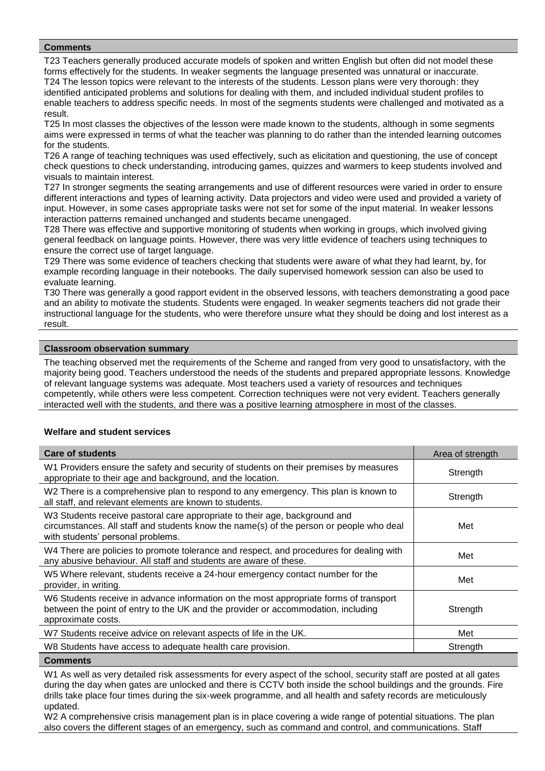T23 Teachers generally produced accurate models of spoken and written English but often did not model these forms effectively for the students. In weaker segments the language presented was unnatural or inaccurate. T24 The lesson topics were relevant to the interests of the students. Lesson plans were very thorough: they identified anticipated problems and solutions for dealing with them, and included individual student profiles to enable teachers to address specific needs. In most of the segments students were challenged and motivated as a result.

T25 In most classes the objectives of the lesson were made known to the students, although in some segments aims were expressed in terms of what the teacher was planning to do rather than the intended learning outcomes for the students.

T26 A range of teaching techniques was used effectively, such as elicitation and questioning, the use of concept check questions to check understanding, introducing games, quizzes and warmers to keep students involved and visuals to maintain interest.

T27 In stronger segments the seating arrangements and use of different resources were varied in order to ensure different interactions and types of learning activity. Data projectors and video were used and provided a variety of input. However, in some cases appropriate tasks were not set for some of the input material. In weaker lessons interaction patterns remained unchanged and students became unengaged.

T28 There was effective and supportive monitoring of students when working in groups, which involved giving general feedback on language points. However, there was very little evidence of teachers using techniques to ensure the correct use of target language.

T29 There was some evidence of teachers checking that students were aware of what they had learnt, by, for example recording language in their notebooks. The daily supervised homework session can also be used to evaluate learning.

T30 There was generally a good rapport evident in the observed lessons, with teachers demonstrating a good pace and an ability to motivate the students. Students were engaged. In weaker segments teachers did not grade their instructional language for the students, who were therefore unsure what they should be doing and lost interest as a result.

## **Classroom observation summary**

The teaching observed met the requirements of the Scheme and ranged from very good to unsatisfactory, with the majority being good. Teachers understood the needs of the students and prepared appropriate lessons. Knowledge of relevant language systems was adequate. Most teachers used a variety of resources and techniques competently, while others were less competent. Correction techniques were not very evident. Teachers generally interacted well with the students, and there was a positive learning atmosphere in most of the classes.

#### **Welfare and student services**

| <b>Care of students</b>                                                                                                                                                                                    | Area of strength |
|------------------------------------------------------------------------------------------------------------------------------------------------------------------------------------------------------------|------------------|
| W1 Providers ensure the safety and security of students on their premises by measures<br>appropriate to their age and background, and the location.                                                        | Strength         |
| W2 There is a comprehensive plan to respond to any emergency. This plan is known to<br>all staff, and relevant elements are known to students.                                                             | Strength         |
| W3 Students receive pastoral care appropriate to their age, background and<br>circumstances. All staff and students know the name(s) of the person or people who deal<br>with students' personal problems. | Met              |
| W4 There are policies to promote tolerance and respect, and procedures for dealing with<br>any abusive behaviour. All staff and students are aware of these.                                               | Met              |
| W5 Where relevant, students receive a 24-hour emergency contact number for the<br>provider, in writing.                                                                                                    | Met              |
| W6 Students receive in advance information on the most appropriate forms of transport<br>between the point of entry to the UK and the provider or accommodation, including<br>approximate costs.           | Strength         |
| W7 Students receive advice on relevant aspects of life in the UK.                                                                                                                                          | Met              |
| W8 Students have access to adequate health care provision.                                                                                                                                                 | Strength         |
| $\sim$ $\sim$ $\sim$                                                                                                                                                                                       |                  |

**Comments** 

W1 As well as very detailed risk assessments for every aspect of the school, security staff are posted at all gates during the day when gates are unlocked and there is CCTV both inside the school buildings and the grounds. Fire drills take place four times during the six-week programme, and all health and safety records are meticulously updated.

W<sub>2</sub> A comprehensive crisis management plan is in place covering a wide range of potential situations. The plan also covers the different stages of an emergency, such as command and control, and communications. Staff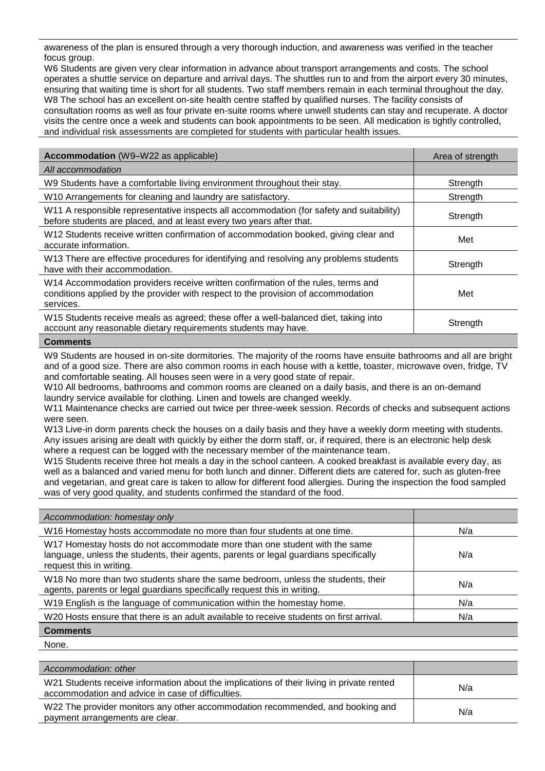awareness of the plan is ensured through a very thorough induction, and awareness was verified in the teacher focus group.

W6 Students are given very clear information in advance about transport arrangements and costs. The school operates a shuttle service on departure and arrival days. The shuttles run to and from the airport every 30 minutes, ensuring that waiting time is short for all students. Two staff members remain in each terminal throughout the day. W8 The school has an excellent on-site health centre staffed by qualified nurses. The facility consists of consultation rooms as well as four private en-suite rooms where unwell students can stay and recuperate. A doctor visits the centre once a week and students can book appointments to be seen. All medication is tightly controlled, and individual risk assessments are completed for students with particular health issues.

| <b>Accommodation</b> (W9-W22 as applicable)                                                                                                                                        | Area of strength |
|------------------------------------------------------------------------------------------------------------------------------------------------------------------------------------|------------------|
| All accommodation                                                                                                                                                                  |                  |
| W9 Students have a comfortable living environment throughout their stay.                                                                                                           | Strength         |
| W10 Arrangements for cleaning and laundry are satisfactory.                                                                                                                        | Strength         |
| W11 A responsible representative inspects all accommodation (for safety and suitability)<br>before students are placed, and at least every two years after that.                   | Strength         |
| W12 Students receive written confirmation of accommodation booked, giving clear and<br>accurate information.                                                                       | Met              |
| W13 There are effective procedures for identifying and resolving any problems students<br>have with their accommodation.                                                           | Strength         |
| W14 Accommodation providers receive written confirmation of the rules, terms and<br>conditions applied by the provider with respect to the provision of accommodation<br>services. | Met              |
| W15 Students receive meals as agreed; these offer a well-balanced diet, taking into<br>account any reasonable dietary requirements students may have.                              | Strength         |
| $\sim$ $\sim$ $\sim$                                                                                                                                                               |                  |

#### **Comments**

W9 Students are housed in on-site dormitories. The majority of the rooms have ensuite bathrooms and all are bright and of a good size. There are also common rooms in each house with a kettle, toaster, microwave oven, fridge, TV and comfortable seating. All houses seen were in a very good state of repair.

W10 All bedrooms, bathrooms and common rooms are cleaned on a daily basis, and there is an on-demand laundry service available for clothing. Linen and towels are changed weekly.

W11 Maintenance checks are carried out twice per three-week session. Records of checks and subsequent actions were seen.

W13 Live-in dorm parents check the houses on a daily basis and they have a weekly dorm meeting with students. Any issues arising are dealt with quickly by either the dorm staff, or, if required, there is an electronic help desk where a request can be logged with the necessary member of the maintenance team.

W15 Students receive three hot meals a day in the school canteen. A cooked breakfast is available every day, as well as a balanced and varied menu for both lunch and dinner. Different diets are catered for, such as gluten-free and vegetarian, and great care is taken to allow for different food allergies. During the inspection the food sampled was of very good quality, and students confirmed the standard of the food.

| Accommodation: homestay only                                                                                                                                                                  |     |
|-----------------------------------------------------------------------------------------------------------------------------------------------------------------------------------------------|-----|
| W16 Homestay hosts accommodate no more than four students at one time.                                                                                                                        | N/a |
| W17 Homestay hosts do not accommodate more than one student with the same<br>language, unless the students, their agents, parents or legal guardians specifically<br>request this in writing. | N/a |
| W18 No more than two students share the same bedroom, unless the students, their<br>agents, parents or legal guardians specifically request this in writing.                                  | N/a |
| W19 English is the language of communication within the homestay home.                                                                                                                        | N/a |
| W20 Hosts ensure that there is an adult available to receive students on first arrival.                                                                                                       | N/a |
| <b>Comments</b>                                                                                                                                                                               |     |

None.

| Accommodation: other                                                                                                                           |     |
|------------------------------------------------------------------------------------------------------------------------------------------------|-----|
| W21 Students receive information about the implications of their living in private rented<br>accommodation and advice in case of difficulties. | N/a |
| W22 The provider monitors any other accommodation recommended, and booking and<br>payment arrangements are clear.                              | N/a |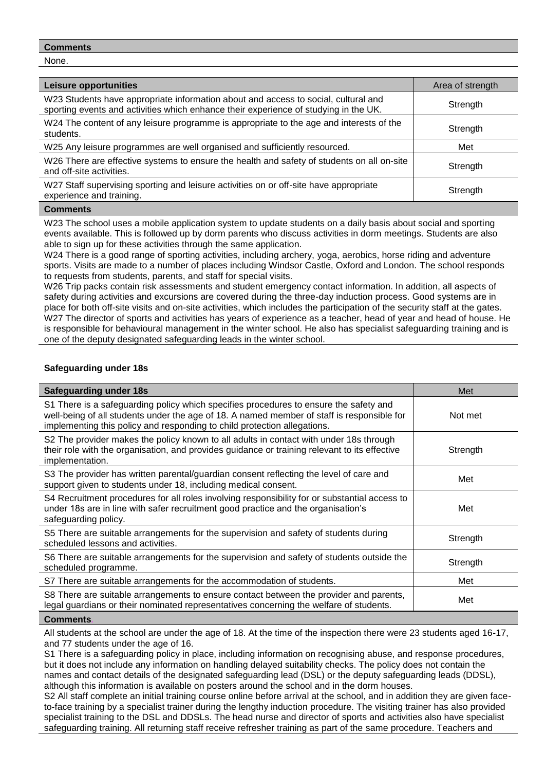None.

| Leisure opportunities                                                                                                                                                      | Area of strength |
|----------------------------------------------------------------------------------------------------------------------------------------------------------------------------|------------------|
| W23 Students have appropriate information about and access to social, cultural and<br>sporting events and activities which enhance their experience of studying in the UK. | Strength         |
| W24 The content of any leisure programme is appropriate to the age and interests of the<br>students.                                                                       | Strength         |
| W25 Any leisure programmes are well organised and sufficiently resourced.                                                                                                  | Met              |
| W26 There are effective systems to ensure the health and safety of students on all on-site<br>and off-site activities.                                                     | Strength         |
| W27 Staff supervising sporting and leisure activities on or off-site have appropriate<br>experience and training.                                                          | Strength         |

#### **Comments**

W23 The school uses a mobile application system to update students on a daily basis about social and sporting events available. This is followed up by dorm parents who discuss activities in dorm meetings. Students are also able to sign up for these activities through the same application.

W24 There is a good range of sporting activities, including archery, yoga, aerobics, horse riding and adventure sports. Visits are made to a number of places including Windsor Castle, Oxford and London. The school responds to requests from students, parents, and staff for special visits.

W26 Trip packs contain risk assessments and student emergency contact information. In addition, all aspects of safety during activities and excursions are covered during the three-day induction process. Good systems are in place for both off-site visits and on-site activities, which includes the participation of the security staff at the gates. W27 The director of sports and activities has years of experience as a teacher, head of year and head of house. He is responsible for behavioural management in the winter school. He also has specialist safeguarding training and is one of the deputy designated safeguarding leads in the winter school.

## **Safeguarding under 18s**

| <b>Safeguarding under 18s</b>                                                                                                                                                                                                                                   | Met      |
|-----------------------------------------------------------------------------------------------------------------------------------------------------------------------------------------------------------------------------------------------------------------|----------|
| S1 There is a safeguarding policy which specifies procedures to ensure the safety and<br>well-being of all students under the age of 18. A named member of staff is responsible for<br>implementing this policy and responding to child protection allegations. | Not met  |
| S2 The provider makes the policy known to all adults in contact with under 18s through<br>their role with the organisation, and provides guidance or training relevant to its effective<br>implementation.                                                      | Strength |
| S3 The provider has written parental/guardian consent reflecting the level of care and<br>support given to students under 18, including medical consent.                                                                                                        | Met      |
| S4 Recruitment procedures for all roles involving responsibility for or substantial access to<br>under 18s are in line with safer recruitment good practice and the organisation's<br>safeguarding policy.                                                      | Met      |
| S5 There are suitable arrangements for the supervision and safety of students during<br>scheduled lessons and activities.                                                                                                                                       | Strength |
| S6 There are suitable arrangements for the supervision and safety of students outside the<br>scheduled programme.                                                                                                                                               | Strength |
| S7 There are suitable arrangements for the accommodation of students.                                                                                                                                                                                           | Met      |
| S8 There are suitable arrangements to ensure contact between the provider and parents,<br>legal guardians or their nominated representatives concerning the welfare of students.                                                                                | Met      |
| Commonte                                                                                                                                                                                                                                                        |          |

**Comments***.*

All students at the school are under the age of 18. At the time of the inspection there were 23 students aged 16-17, and 77 students under the age of 16.

S1 There is a safeguarding policy in place, including information on recognising abuse, and response procedures, but it does not include any information on handling delayed suitability checks. The policy does not contain the names and contact details of the designated safeguarding lead (DSL) or the deputy safeguarding leads (DDSL), although this information is available on posters around the school and in the dorm houses.

S2 All staff complete an initial training course online before arrival at the school, and in addition they are given faceto-face training by a specialist trainer during the lengthy induction procedure. The visiting trainer has also provided specialist training to the DSL and DDSLs. The head nurse and director of sports and activities also have specialist safeguarding training. All returning staff receive refresher training as part of the same procedure. Teachers and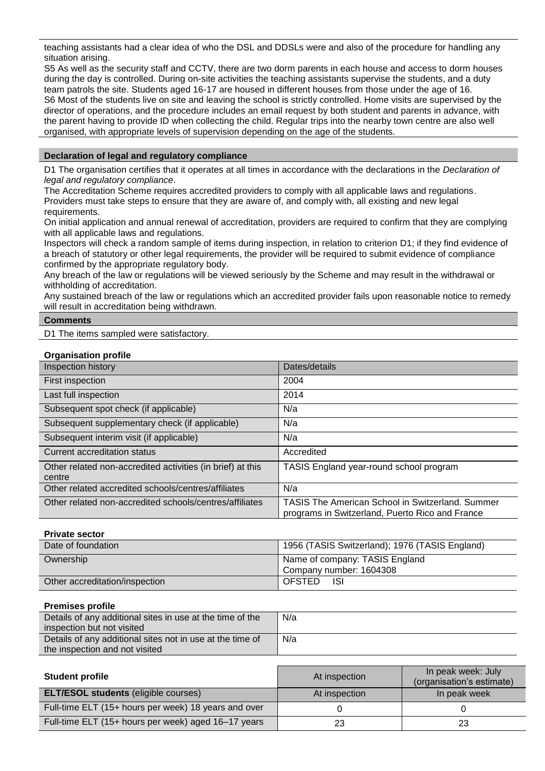teaching assistants had a clear idea of who the DSL and DDSLs were and also of the procedure for handling any situation arising.

S5 As well as the security staff and CCTV, there are two dorm parents in each house and access to dorm houses during the day is controlled. During on-site activities the teaching assistants supervise the students, and a duty team patrols the site. Students aged 16-17 are housed in different houses from those under the age of 16. S6 Most of the students live on site and leaving the school is strictly controlled. Home visits are supervised by the director of operations, and the procedure includes an email request by both student and parents in advance, with the parent having to provide ID when collecting the child. Regular trips into the nearby town centre are also well organised, with appropriate levels of supervision depending on the age of the students.

## **Declaration of legal and regulatory compliance**

D1 The organisation certifies that it operates at all times in accordance with the declarations in the *Declaration of legal and regulatory compliance*.

The Accreditation Scheme requires accredited providers to comply with all applicable laws and regulations. Providers must take steps to ensure that they are aware of, and comply with, all existing and new legal requirements.

On initial application and annual renewal of accreditation, providers are required to confirm that they are complying with all applicable laws and regulations.

Inspectors will check a random sample of items during inspection, in relation to criterion D1; if they find evidence of a breach of statutory or other legal requirements, the provider will be required to submit evidence of compliance confirmed by the appropriate regulatory body.

Any breach of the law or regulations will be viewed seriously by the Scheme and may result in the withdrawal or withholding of accreditation.

Any sustained breach of the law or regulations which an accredited provider fails upon reasonable notice to remedy will result in accreditation being withdrawn.

# **Comments** D1 The items sampled were satisfactory.

# **Organisation profile**

| Inspection history                                         | Dates/details                                                                                              |
|------------------------------------------------------------|------------------------------------------------------------------------------------------------------------|
| First inspection                                           | 2004                                                                                                       |
| Last full inspection                                       | 2014                                                                                                       |
| Subsequent spot check (if applicable)                      | N/a                                                                                                        |
| Subsequent supplementary check (if applicable)             | N/a                                                                                                        |
| Subsequent interim visit (if applicable)                   | N/a                                                                                                        |
| Current accreditation status                               | Accredited                                                                                                 |
| Other related non-accredited activities (in brief) at this | TASIS England year-round school program                                                                    |
| centre                                                     |                                                                                                            |
| Other related accredited schools/centres/affiliates        | N/a                                                                                                        |
| Other related non-accredited schools/centres/affiliates    | <b>TASIS The American School in Switzerland. Summer</b><br>programs in Switzerland, Puerto Rico and France |

#### **Private sector**

| Date of foundation             | 1956 (TASIS Switzerland); 1976 (TASIS England)            |
|--------------------------------|-----------------------------------------------------------|
| Ownership                      | Name of company: TASIS England<br>Company number: 1604308 |
| Other accreditation/inspection | <b>OFSTED</b><br>-ISI                                     |

#### **Premises profile**

| Details of any additional sites in use at the time of the<br>inspection but not visited | N/a |
|-----------------------------------------------------------------------------------------|-----|
| Details of any additional sites not in use at the time of                               | N/a |
| the inspection and not visited                                                          |     |

| <b>Student profile</b>                               | At inspection | In peak week: July<br>(organisation's estimate) |
|------------------------------------------------------|---------------|-------------------------------------------------|
| <b>ELT/ESOL students (eligible courses)</b>          | At inspection | In peak week                                    |
| Full-time ELT (15+ hours per week) 18 years and over |               |                                                 |
| Full-time ELT (15+ hours per week) aged 16-17 years  | 23            |                                                 |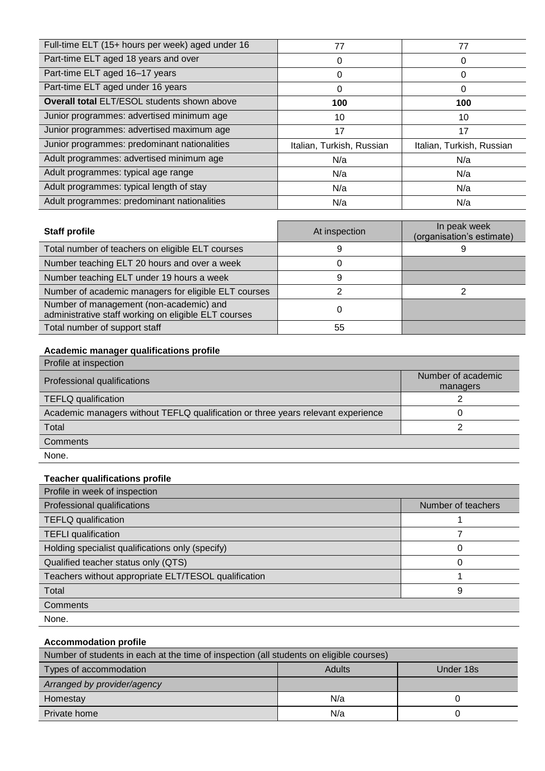| Full-time ELT (15+ hours per week) aged under 16   | 77                        | 77                        |
|----------------------------------------------------|---------------------------|---------------------------|
| Part-time ELT aged 18 years and over               | 0                         | 0                         |
| Part-time ELT aged 16-17 years                     | 0                         | 0                         |
| Part-time ELT aged under 16 years                  | 0                         | 0                         |
| <b>Overall total ELT/ESOL students shown above</b> | 100                       | 100                       |
| Junior programmes: advertised minimum age          | 10                        | 10                        |
| Junior programmes: advertised maximum age          | 17                        | 17                        |
| Junior programmes: predominant nationalities       | Italian, Turkish, Russian | Italian, Turkish, Russian |
| Adult programmes: advertised minimum age           | N/a                       | N/a                       |
| Adult programmes: typical age range                | N/a                       | N/a                       |
| Adult programmes: typical length of stay           | N/a                       | N/a                       |
| Adult programmes: predominant nationalities        | N/a                       | N/a                       |

| <b>Staff profile</b>                                                                            | At inspection | In peak week<br>(organisation's estimate) |
|-------------------------------------------------------------------------------------------------|---------------|-------------------------------------------|
| Total number of teachers on eligible ELT courses                                                |               |                                           |
| Number teaching ELT 20 hours and over a week                                                    |               |                                           |
| Number teaching ELT under 19 hours a week                                                       | 9             |                                           |
| Number of academic managers for eligible ELT courses                                            |               |                                           |
| Number of management (non-academic) and<br>administrative staff working on eligible ELT courses |               |                                           |
| Total number of support staff                                                                   | 55            |                                           |

# **Academic manager qualifications profile**

| Profile at inspection                                                            |                    |
|----------------------------------------------------------------------------------|--------------------|
| Professional qualifications                                                      | Number of academic |
|                                                                                  | managers           |
| <b>TEFLQ</b> qualification                                                       |                    |
| Academic managers without TEFLQ qualification or three years relevant experience |                    |
| Total                                                                            |                    |
| Comments                                                                         |                    |
| None.                                                                            |                    |

# **Teacher qualifications profile**

| Profile in week of inspection                        |                    |
|------------------------------------------------------|--------------------|
| Professional qualifications                          | Number of teachers |
| <b>TEFLQ</b> qualification                           |                    |
| <b>TEFLI</b> qualification                           |                    |
| Holding specialist qualifications only (specify)     |                    |
| Qualified teacher status only (QTS)                  |                    |
| Teachers without appropriate ELT/TESOL qualification |                    |
| Total                                                | 9                  |
| <b>Comments</b>                                      |                    |
| None.                                                |                    |

# **Accommodation profile**

| Number of students in each at the time of inspection (all students on eligible courses) |               |           |
|-----------------------------------------------------------------------------------------|---------------|-----------|
| Types of accommodation                                                                  | <b>Adults</b> | Under 18s |
| Arranged by provider/agency                                                             |               |           |
| Homestay                                                                                | N/a           |           |
| Private home                                                                            | N/a           |           |